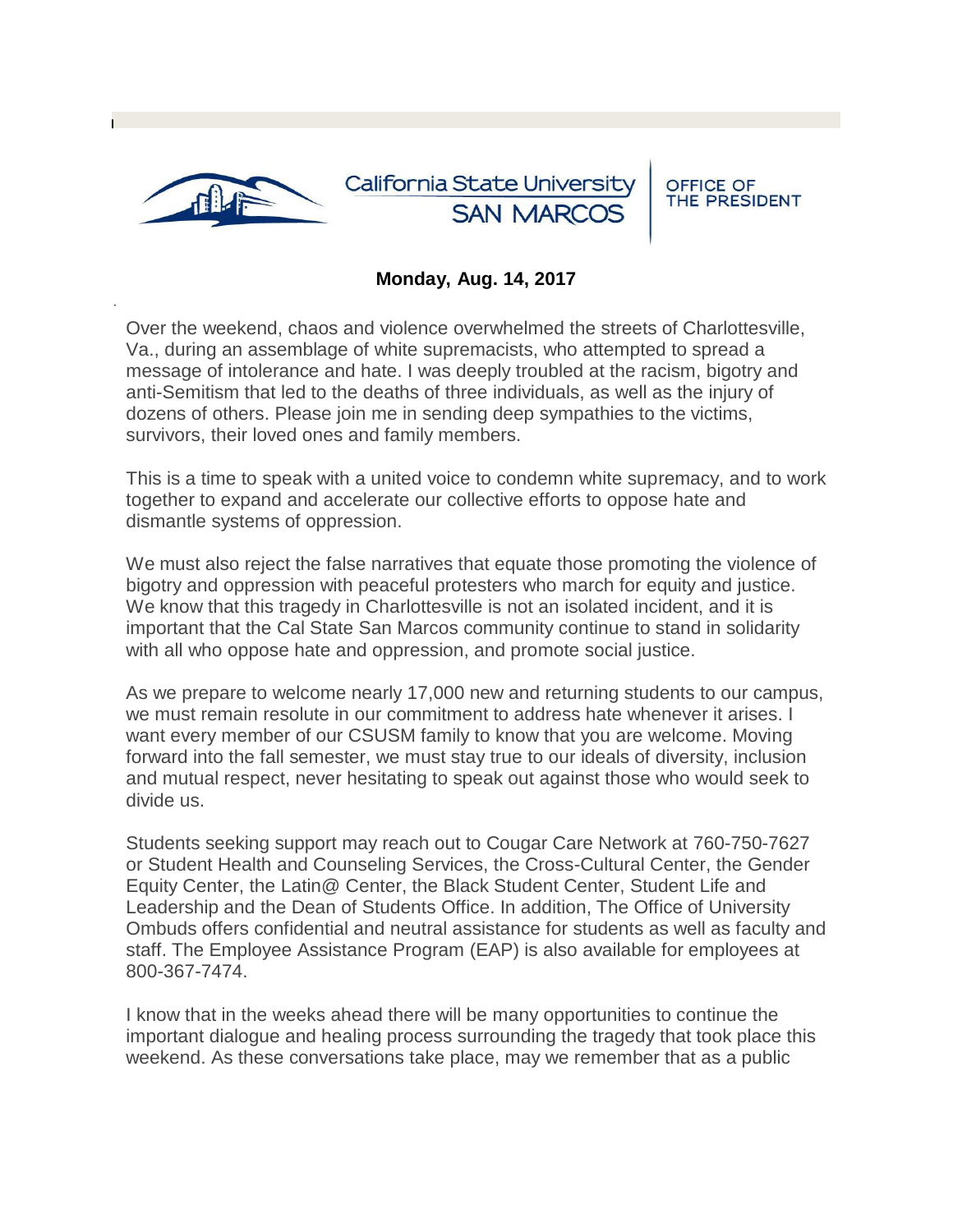

## **Monday, Aug. 14, 2017**

Over the weekend, chaos and violence overwhelmed the streets of Charlottesville, Va., during an assemblage of white supremacists, who attempted to spread a message of intolerance and hate. I was deeply troubled at the racism, bigotry and anti-Semitism that led to the deaths of three individuals, as well as the injury of dozens of others. Please join me in sending deep sympathies to the victims, survivors, their loved ones and family members.

This is a time to speak with a united voice to condemn white supremacy, and to work together to expand and accelerate our collective efforts to oppose hate and dismantle systems of oppression.

We must also reject the false narratives that equate those promoting the violence of bigotry and oppression with peaceful protesters who march for equity and justice. We know that this tragedy in Charlottesville is not an isolated incident, and it is important that the Cal State San Marcos community continue to stand in solidarity with all who oppose hate and oppression, and promote social justice.

As we prepare to welcome nearly 17,000 new and returning students to our campus, we must remain resolute in our commitment to address hate whenever it arises. I want every member of our CSUSM family to know that you are welcome. Moving forward into the fall semester, we must stay true to our ideals of diversity, inclusion and mutual respect, never hesitating to speak out against those who would seek to divide us.

Students seeking support may reach out to Cougar Care Network at 760-750-7627 or Student Health and Counseling Services, the Cross-Cultural Center, the Gender Equity Center, the Latin@ Center, the Black Student Center, Student Life and Leadership and the Dean of Students Office. In addition, The Office of University Ombuds offers confidential and neutral assistance for students as well as faculty and staff. The Employee Assistance Program (EAP) is also available for employees at 800-367-7474.

I know that in the weeks ahead there will be many opportunities to continue the important dialogue and healing process surrounding the tragedy that took place this weekend. As these conversations take place, may we remember that as a public